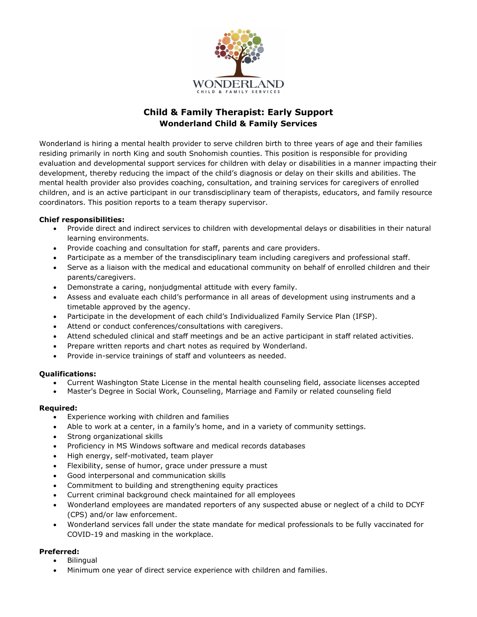

# **Child & Family Therapist: Early Support Wonderland Child & Family Services**

Wonderland is hiring a mental health provider to serve children birth to three years of age and their families residing primarily in north King and south Snohomish counties. This position is responsible for providing evaluation and developmental support services for children with delay or disabilities in a manner impacting their development, thereby reducing the impact of the child's diagnosis or delay on their skills and abilities. The mental health provider also provides coaching, consultation, and training services for caregivers of enrolled children, and is an active participant in our transdisciplinary team of therapists, educators, and family resource coordinators. This position reports to a team therapy supervisor.

#### **Chief responsibilities:**

- Provide direct and indirect services to children with developmental delays or disabilities in their natural learning environments.
- Provide coaching and consultation for staff, parents and care providers.
- Participate as a member of the transdisciplinary team including caregivers and professional staff.
- Serve as a liaison with the medical and educational community on behalf of enrolled children and their parents/caregivers.
- Demonstrate a caring, nonjudgmental attitude with every family.
- Assess and evaluate each child's performance in all areas of development using instruments and a timetable approved by the agency.
- Participate in the development of each child's Individualized Family Service Plan (IFSP).
- Attend or conduct conferences/consultations with caregivers.
- Attend scheduled clinical and staff meetings and be an active participant in staff related activities.
- Prepare written reports and chart notes as required by Wonderland.
- Provide in-service trainings of staff and volunteers as needed.

#### **Qualifications:**

- Current Washington State License in the mental health counseling field, associate licenses accepted
- Master's Degree in Social Work, Counseling, Marriage and Family or related counseling field

#### **Required:**

- Experience working with children and families
- Able to work at a center, in a family's home, and in a variety of community settings.
- Strong organizational skills
- Proficiency in MS Windows software and medical records databases
- High energy, self-motivated, team player
- Flexibility, sense of humor, grace under pressure a must
- Good interpersonal and communication skills
- Commitment to building and strengthening equity practices
- Current criminal background check maintained for all employees
- Wonderland employees are mandated reporters of any suspected abuse or neglect of a child to DCYF (CPS) and/or law enforcement.
- Wonderland services fall under the state mandate for medical professionals to be fully vaccinated for COVID-19 and masking in the workplace.

#### **Preferred:**

- Bilingual
- Minimum one year of direct service experience with children and families.